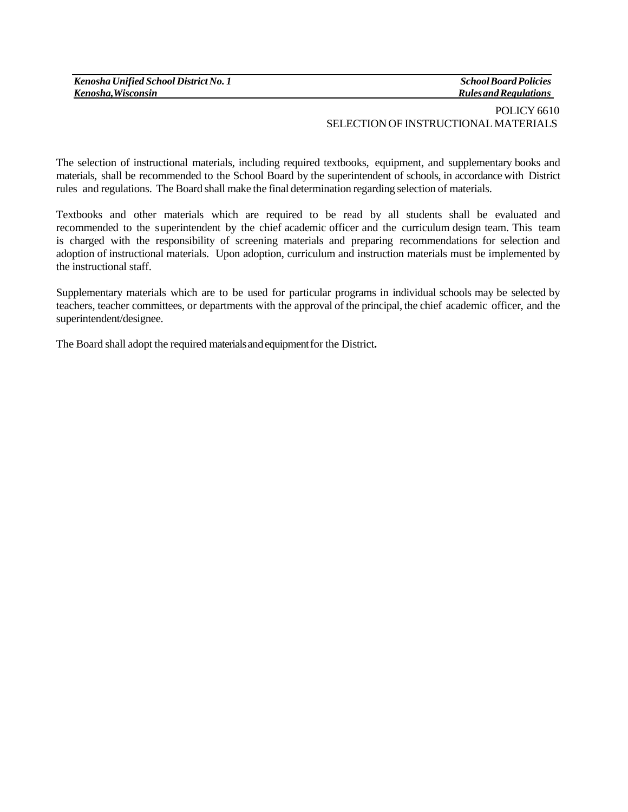| Kenosha Unified School District No. 1 |  |
|---------------------------------------|--|
| Kenosha, Wisconsin                    |  |

*SchoolBoardPolicies RulesandRegulations*

## POLICY 6610 SELECTION OF INSTRUCTIONAL MATERIALS

The selection of instructional materials, including required textbooks, equipment, and supplementary books and materials, shall be recommended to the School Board by the superintendent of schools, in accordance with District rules and regulations. The Board shall make the final determination regarding selection of materials.

Textbooks and other materials which are required to be read by all students shall be evaluated and recommended to the superintendent by the chief academic officer and the curriculum design team. This team is charged with the responsibility of screening materials and preparing recommendations for selection and adoption of instructional materials. Upon adoption, curriculum and instruction materials must be implemented by the instructional staff.

Supplementary materials which are to be used for particular programs in individual schools may be selected by teachers, teacher committees, or departments with the approval of the principal, the chief academic officer, and the superintendent/designee.

The Board shall adopt the required materialsandequipmentfor the District**.**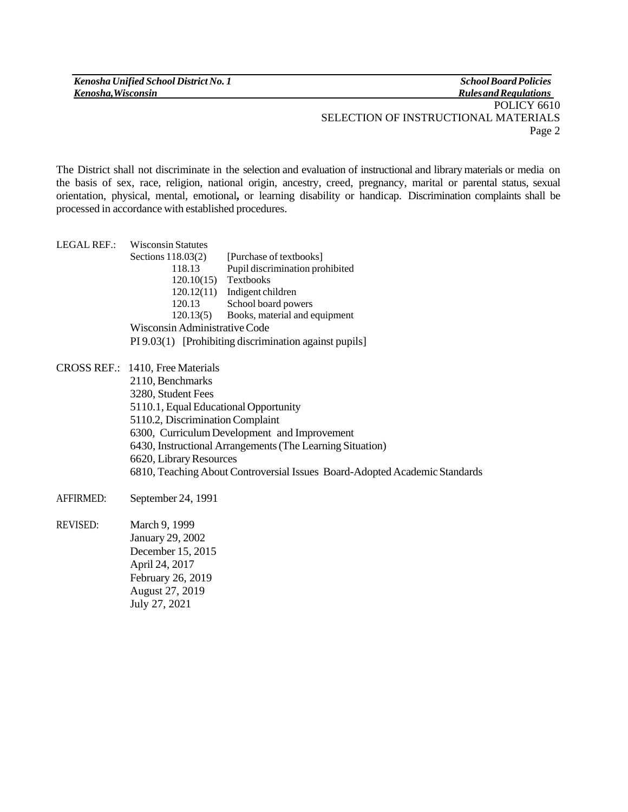*Kenosha Unified School District No. 1 Kenosha,Wisconsin*

*SchoolBoardPolicies RulesandRegulations* POLICY 6610 SELECTION OF INSTRUCTIONAL MATERIALS Page 2

The District shall not discriminate in the selection and evaluation of instructional and library materials or media on the basis of sex, race, religion, national origin, ancestry, creed, pregnancy, marital or parental status, sexual orientation, physical, mental, emotional**,** or learning disability or handicap. Discrimination complaints shall be processed in accordance with established procedures.

| LEGAL REF.:                                            | <b>Wisconsin Statutes</b> |                                 |  |  |  |  |
|--------------------------------------------------------|---------------------------|---------------------------------|--|--|--|--|
|                                                        | Sections $118.03(2)$      | [Purchase of textbooks]         |  |  |  |  |
|                                                        | 118.13                    | Pupil discrimination prohibited |  |  |  |  |
|                                                        | 120.10(15)                | Textbooks                       |  |  |  |  |
|                                                        | 120.12(11)                | Indigent children               |  |  |  |  |
|                                                        | 120.13                    | School board powers             |  |  |  |  |
|                                                        | 120.13(5)                 | Books, material and equipment   |  |  |  |  |
| Wisconsin Administrative Code                          |                           |                                 |  |  |  |  |
| PI 9.03(1) [Prohibiting discrimination against pupils] |                           |                                 |  |  |  |  |

CROSS REF.: 1410, Free Materials 2110, Benchmarks 3280, Student Fees 5110.1, Equal Educational Opportunity 5110.2, DiscriminationComplaint 6300, CurriculumDevelopment and Improvement 6430, Instructional Arrangements(The Learning Situation) 6620, Library Resources 6810, Teaching About Controversial Issues Board-Adopted Academic Standards

- AFFIRMED: September 24, 1991
- REVISED: March 9, 1999 January 29, 2002 December 15, 2015 April 24, 2017 February 26, 2019 August 27, 2019 July 27, 2021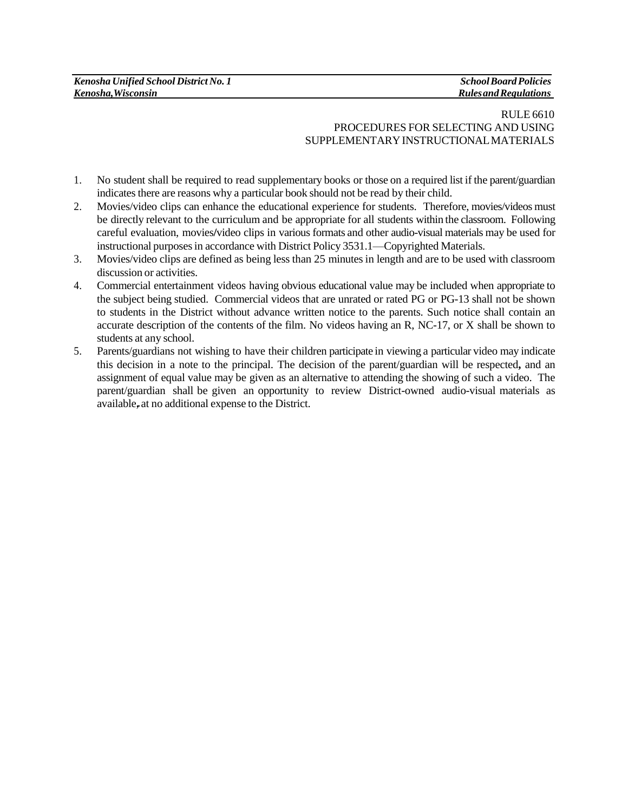## RULE 6610 PROCEDURES FOR SELECTING AND USING SUPPLEMENTARYINSTRUCTIONALMATERIALS

- 1. No student shall be required to read supplementary books or those on a required list if the parent/guardian indicates there are reasons why a particular book should not be read by their child.
- 2. Movies/video clips can enhance the educational experience for students. Therefore, movies/videos must be directly relevant to the curriculum and be appropriate for all students within the classroom. Following careful evaluation, movies**/**video clips in various formats and other audio-visual materials may be used for instructional purposesin accordance with District Policy 3531.1—Copyrighted Materials.
- 3. Movies/video clips are defined as being less than 25 minutes in length and are to be used with classroom discussion or activities.
- 4. Commercial entertainment videos having obvious educational value may be included when appropriate to the subject being studied. Commercial videos that are unrated or rated PG or PG-13 shall not be shown to students in the District without advance written notice to the parents. Such notice shall contain an accurate description of the contents of the film. No videos having an R, NC-17, or X shall be shown to students at any school.
- 5. Parents/guardians not wishing to have their children participate in viewing a particular video may indicate this decision in a note to the principal. The decision of the parent/guardian will be respected**,** and an assignment of equal value may be given as an alternative to attending the showing of such a video. The parent/guardian shall be given an opportunity to review District-owned audio-visual materials as available, at no additional expense to the District.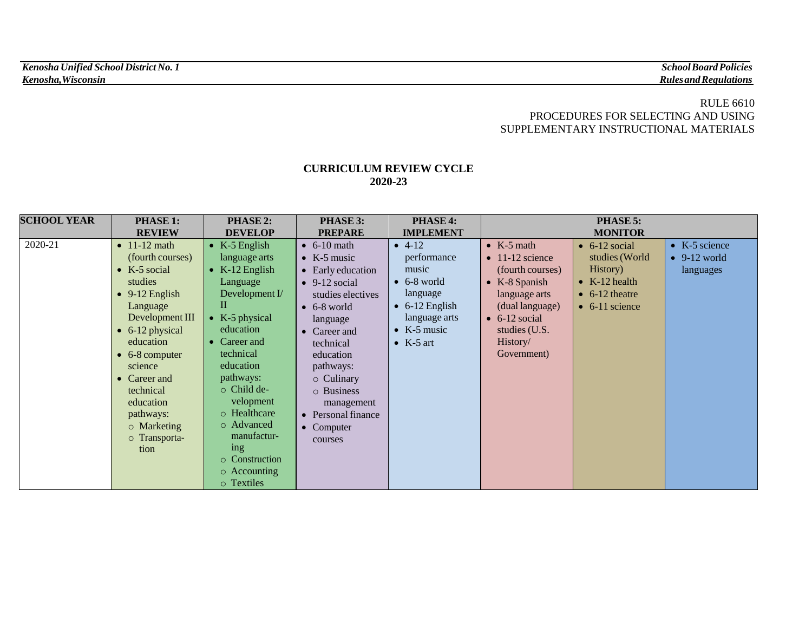## RULE 6610 PROCEDURES FOR SELECTING AND USING SUPPLEMENTARY INSTRUCTIONAL MATERIALS

## **CURRICULUM REVIEW CYCLE 2020-23**

| <b>SCHOOL YEAR</b> | <b>PHASE 1:</b>         | <b>PHASE 2:</b>             | PHASE 3:              | <b>PHASE 4:</b>        | PHASE 5:                |                        |                       |
|--------------------|-------------------------|-----------------------------|-----------------------|------------------------|-------------------------|------------------------|-----------------------|
|                    | <b>REVIEW</b>           | <b>DEVELOP</b>              | <b>PREPARE</b>        | <b>IMPLEMENT</b>       | <b>MONITOR</b>          |                        |                       |
| 2020-21            | $\bullet$ 11-12 math    | $\bullet$ K-5 English       | $\bullet$ 6-10 math   | $-4-12$                | • $K-5$ math            | $\bullet$ 6-12 social  | $\bullet$ K-5 science |
|                    | (fourth courses)        | language arts               | $\bullet$ K-5 music   | performance            | $\bullet$ 11-12 science | studies (World         | $\bullet$ 9-12 world  |
|                    | $\bullet$ K-5 social    | $K-12$ English<br>$\bullet$ | • Early education     | music                  | (fourth courses)        | History)               | languages             |
|                    | studies                 | Language                    | $\bullet$ 9-12 social | $\bullet$ 6-8 world    | $\bullet$ K-8 Spanish   | $\bullet$ K-12 health  |                       |
|                    | $\bullet$ 9-12 English  | Development $I$             | studies electives     | language               | language arts           | $\bullet$ 6-12 theatre |                       |
|                    | Language                | П                           | $\bullet$ 6-8 world   | $\bullet$ 6-12 English | (dual language)         | $\bullet$ 6-11 science |                       |
|                    | Development III         | • K-5 physical              | language              | language arts          | $\bullet$ 6-12 social   |                        |                       |
|                    | $\bullet$ 6-12 physical | education                   | • Career and          | • $K-5$ music          | studies (U.S.           |                        |                       |
|                    | education               | Career and                  | technical             | $\bullet$ K-5 art      | History/                |                        |                       |
|                    | $\bullet$ 6-8 computer  | technical                   | education             |                        | Government)             |                        |                       |
|                    | science                 | education                   | pathways:             |                        |                         |                        |                       |
|                    | • Career and            | pathways:                   | $\circ$ Culinary      |                        |                         |                        |                       |
|                    | technical               | $\circ$ Child de-           | o Business            |                        |                         |                        |                       |
|                    | education               | velopment                   | management            |                        |                         |                        |                       |
|                    | pathways:               | o Healthcare                | • Personal finance    |                        |                         |                        |                       |
|                    | o Marketing             | o Advanced                  | • Computer            |                        |                         |                        |                       |
|                    | o Transporta-           | manufactur-                 | courses               |                        |                         |                        |                       |
|                    | tion                    | ing                         |                       |                        |                         |                        |                       |
|                    |                         | $\circ$ Construction        |                       |                        |                         |                        |                       |
|                    |                         | $\circ$ Accounting          |                       |                        |                         |                        |                       |
|                    |                         | o Textiles                  |                       |                        |                         |                        |                       |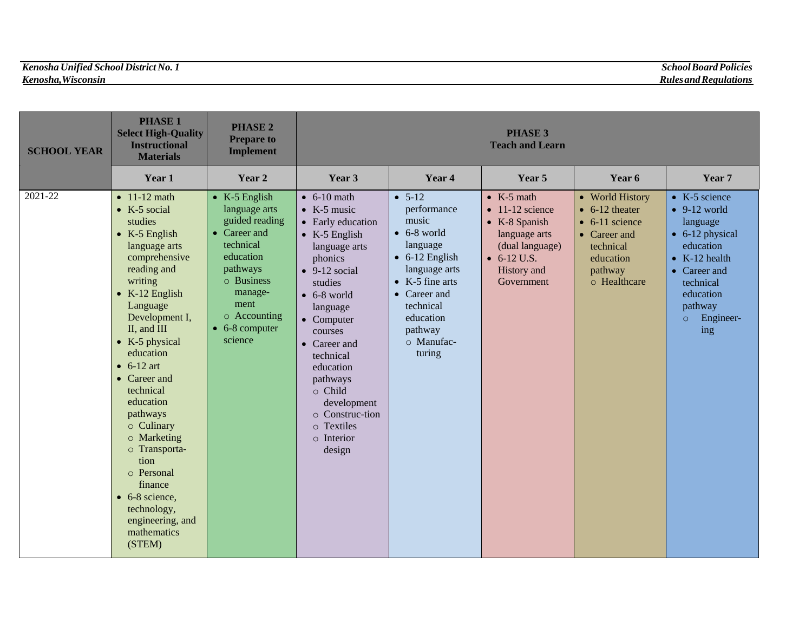| <b>SCHOOL YEAR</b> | <b>PHASE 1</b><br><b>Select High-Quality</b><br><b>Instructional</b><br><b>Materials</b>                                                                                                                                                                                                                                                                                                                                                                                                                          | <b>PHASE 2</b><br><b>Prepare to</b><br><b>Implement</b>                                                                                                                                              | <b>PHASE 3</b><br><b>Teach and Learn</b>                                                                                                                                                                                                                                                                                                                              |                                                                                                                                                                                                                       |                                                                                                                                                                |                                                                                                                                          |                                                                                                                                                                                                                |
|--------------------|-------------------------------------------------------------------------------------------------------------------------------------------------------------------------------------------------------------------------------------------------------------------------------------------------------------------------------------------------------------------------------------------------------------------------------------------------------------------------------------------------------------------|------------------------------------------------------------------------------------------------------------------------------------------------------------------------------------------------------|-----------------------------------------------------------------------------------------------------------------------------------------------------------------------------------------------------------------------------------------------------------------------------------------------------------------------------------------------------------------------|-----------------------------------------------------------------------------------------------------------------------------------------------------------------------------------------------------------------------|----------------------------------------------------------------------------------------------------------------------------------------------------------------|------------------------------------------------------------------------------------------------------------------------------------------|----------------------------------------------------------------------------------------------------------------------------------------------------------------------------------------------------------------|
|                    | Year 1                                                                                                                                                                                                                                                                                                                                                                                                                                                                                                            | Year 2                                                                                                                                                                                               | Year 3                                                                                                                                                                                                                                                                                                                                                                | Year 4                                                                                                                                                                                                                | Year 5                                                                                                                                                         | Year 6                                                                                                                                   | Year 7                                                                                                                                                                                                         |
| 2021-22            | $\bullet$ 11-12 math<br>$\bullet$ K-5 social<br>studies<br>$\bullet$ K-5 English<br>language arts<br>comprehensive<br>reading and<br>writing<br>$\bullet$ K-12 English<br>Language<br>Development I,<br>II, and III<br>$\bullet$ K-5 physical<br>education<br>$\bullet$ 6-12 art<br>• Career and<br>technical<br>education<br>pathways<br>$\circ$ Culinary<br>o Marketing<br>o Transporta-<br>tion<br>o Personal<br>finance<br>$\bullet$ 6-8 science,<br>technology,<br>engineering, and<br>mathematics<br>(STEM) | $\bullet$ K-5 English<br>language arts<br>guided reading<br>• Career and<br>technical<br>education<br>pathways<br>o Business<br>manage-<br>ment<br>o Accounting<br>$\bullet$ 6-8 computer<br>science | $\bullet$ 6-10 math<br>$\bullet$ K-5 music<br>• Early education<br>$\bullet$ K-5 English<br>language arts<br>phonics<br>$\bullet$ 9-12 social<br>studies<br>$\bullet$ 6-8 world<br>language<br>$\bullet$ Computer<br>courses<br>• Career and<br>technical<br>education<br>pathways<br>o Child<br>development<br>o Construc-tion<br>o Textiles<br>o Interior<br>design | $-5-12$<br>performance<br>music<br>$\bullet$ 6-8 world<br>language<br>$\bullet$ 6-12 English<br>language arts<br>$\bullet$ K-5 fine arts<br>• Career and<br>technical<br>education<br>pathway<br>o Manufac-<br>turing | $\bullet$ K-5 math<br>$\bullet$ 11-12 science<br>$\bullet$ K-8 Spanish<br>language arts<br>(dual language)<br>$\bullet$ 6-12 U.S.<br>History and<br>Government | • World History<br>$\bullet$ 6-12 theater<br>$\bullet$ 6-11 science<br>• Career and<br>technical<br>education<br>pathway<br>o Healthcare | $\bullet$ K-5 science<br>$\bullet$ 9-12 world<br>language<br>$\bullet$ 6-12 physical<br>education<br>$\bullet$ K-12 health<br>• Career and<br>technical<br>education<br>pathway<br>Engineer-<br>$\circ$<br>ing |